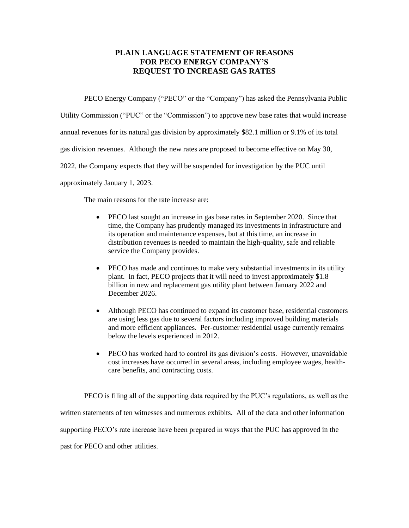## **PLAIN LANGUAGE STATEMENT OF REASONS FOR PECO ENERGY COMPANY'S REQUEST TO INCREASE GAS RATES**

PECO Energy Company ("PECO" or the "Company") has asked the Pennsylvania Public

Utility Commission ("PUC" or the "Commission") to approve new base rates that would increase

annual revenues for its natural gas division by approximately \$82.1 million or 9.1% of its total

gas division revenues. Although the new rates are proposed to become effective on May 30,

2022, the Company expects that they will be suspended for investigation by the PUC until

approximately January 1, 2023.

The main reasons for the rate increase are:

- PECO last sought an increase in gas base rates in September 2020. Since that time, the Company has prudently managed its investments in infrastructure and its operation and maintenance expenses, but at this time, an increase in distribution revenues is needed to maintain the high-quality, safe and reliable service the Company provides.
- PECO has made and continues to make very substantial investments in its utility plant. In fact, PECO projects that it will need to invest approximately \$1.8 billion in new and replacement gas utility plant between January 2022 and December 2026.
- Although PECO has continued to expand its customer base, residential customers are using less gas due to several factors including improved building materials and more efficient appliances. Per-customer residential usage currently remains below the levels experienced in 2012.
- PECO has worked hard to control its gas division's costs. However, unavoidable cost increases have occurred in several areas, including employee wages, healthcare benefits, and contracting costs.

PECO is filing all of the supporting data required by the PUC's regulations, as well as the written statements of ten witnesses and numerous exhibits. All of the data and other information supporting PECO's rate increase have been prepared in ways that the PUC has approved in the past for PECO and other utilities.